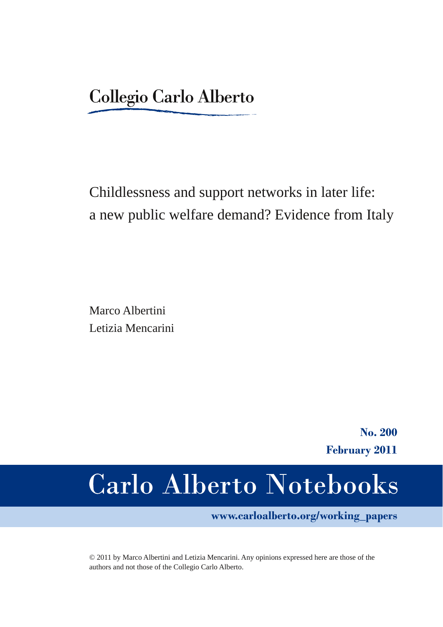# Childlessness and support networks in later life: a new public welfare demand? Evidence from Italy

Marco Albertini Letizia Mencarini

> **No. 200 February 2011**

# **Carlo Alberto Notebooks**

**www.carloalberto.org/working\_papers**

© 2011 by Marco Albertini and Letizia Mencarini. Any opinions expressed here are those of the authors and not those of the Collegio Carlo Alberto.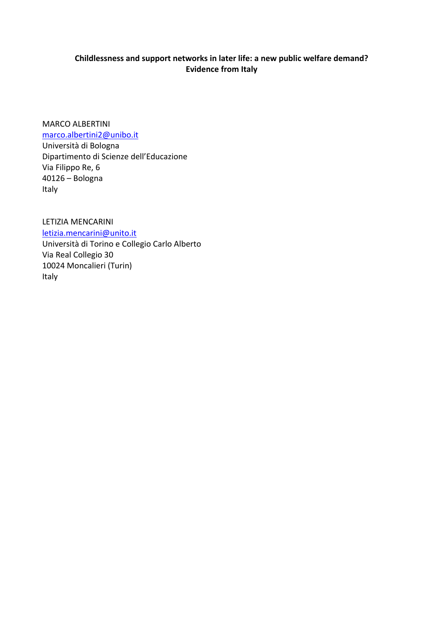# **Childlessness and support networks in later life: a new public welfare demand? Evidence from Italy**

MARCO ALBERTINI marco.albertini2@unibo.it

Università di Bologna Dipartimento di Scienze dell'Educazione Via Filippo Re, 6 40126 – Bologna Italy

LETIZIA MENCARINI letizia.mencarini@unito.it Università di Torino e Collegio Carlo Alberto Via Real Collegio 30 10024 Moncalieri (Turin) Italy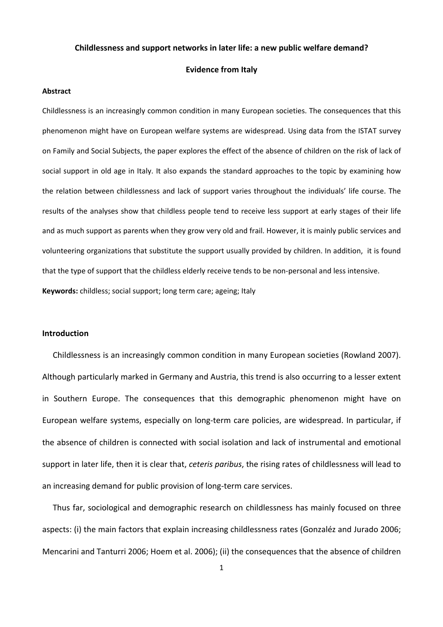#### **Childlessness and support networks in later life: a new public welfare demand?**

#### **Evidence from Italy**

#### **Abstract**

Childlessness is an increasingly common condition in many European societies. The consequences that this phenomenon might have on European welfare systems are widespread. Using data from the ISTAT survey on Family and Social Subjects, the paper explores the effect of the absence of children on the risk of lack of social support in old age in Italy. It also expands the standard approaches to the topic by examining how the relation between childlessness and lack of support varies throughout the individuals' life course. The results of the analyses show that childless people tend to receive less support at early stages of their life and as much support as parents when they grow very old and frail. However, it is mainly public services and volunteering organizations that substitute the support usually provided by children. In addition, it is found that the type of support that the childless elderly receive tends to be non‐personal and less intensive. **Keywords:** childless; social support; long term care; ageing; Italy

#### **Introduction**

Childlessness is an increasingly common condition in many European societies (Rowland 2007). Although particularly marked in Germany and Austria, this trend is also occurring to a lesser extent in Southern Europe. The consequences that this demographic phenomenon might have on European welfare systems, especially on long‐term care policies, are widespread. In particular, if the absence of children is connected with social isolation and lack of instrumental and emotional support in later life, then it is clear that, *ceteris paribus*, the rising rates of childlessness will lead to an increasing demand for public provision of long‐term care services.

Thus far, sociological and demographic research on childlessness has mainly focused on three aspects: (i) the main factors that explain increasing childlessness rates (Gonzaléz and Jurado 2006; Mencarini and Tanturri 2006; Hoem et al. 2006); (ii) the consequences that the absence of children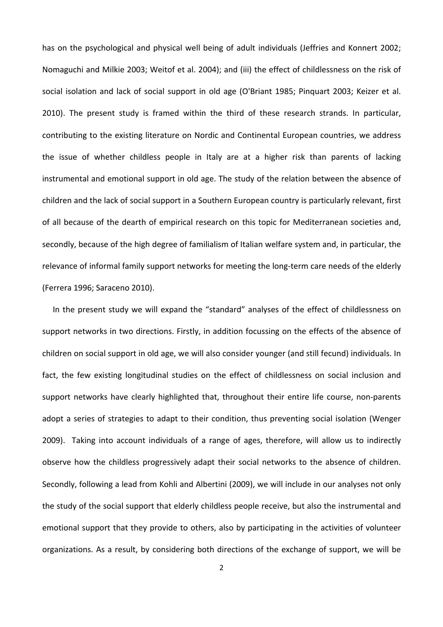has on the psychological and physical well being of adult individuals (Jeffries and Konnert 2002; Nomaguchi and Milkie 2003; Weitof et al. 2004); and (iii) the effect of childlessness on the risk of social isolation and lack of social support in old age (O'Briant 1985; Pinquart 2003; Keizer et al. 2010). The present study is framed within the third of these research strands. In particular, contributing to the existing literature on Nordic and Continental European countries, we address the issue of whether childless people in Italy are at a higher risk than parents of lacking instrumental and emotional support in old age. The study of the relation between the absence of children and the lack of social support in a Southern European country is particularly relevant, first of all because of the dearth of empirical research on this topic for Mediterranean societies and, secondly, because of the high degree of familialism of Italian welfare system and, in particular, the relevance of informal family support networks for meeting the long-term care needs of the elderly (Ferrera 1996; Saraceno 2010).

In the present study we will expand the "standard" analyses of the effect of childlessness on support networks in two directions. Firstly, in addition focussing on the effects of the absence of children on social support in old age, we will also consider younger (and still fecund) individuals. In fact, the few existing longitudinal studies on the effect of childlessness on social inclusion and support networks have clearly highlighted that, throughout their entire life course, non-parents adopt a series of strategies to adapt to their condition, thus preventing social isolation (Wenger 2009). Taking into account individuals of a range of ages, therefore, will allow us to indirectly observe how the childless progressively adapt their social networks to the absence of children. Secondly, following a lead from Kohli and Albertini (2009), we will include in our analyses not only the study of the social support that elderly childless people receive, but also the instrumental and emotional support that they provide to others, also by participating in the activities of volunteer organizations. As a result, by considering both directions of the exchange of support, we will be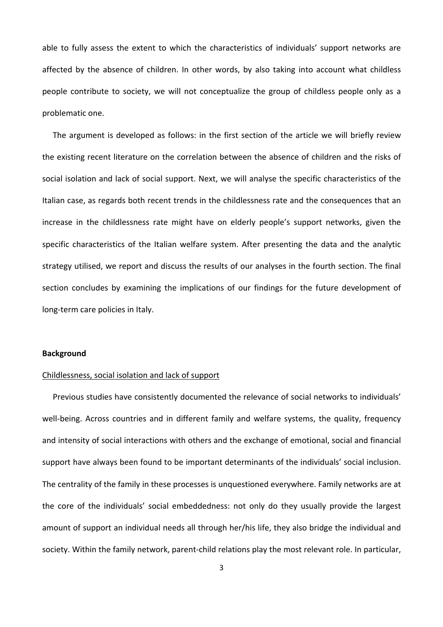able to fully assess the extent to which the characteristics of individuals' support networks are affected by the absence of children. In other words, by also taking into account what childless people contribute to society, we will not conceptualize the group of childless people only as a problematic one.

The argument is developed as follows: in the first section of the article we will briefly review the existing recent literature on the correlation between the absence of children and the risks of social isolation and lack of social support. Next, we will analyse the specific characteristics of the Italian case, as regards both recent trends in the childlessness rate and the consequences that an increase in the childlessness rate might have on elderly people's support networks, given the specific characteristics of the Italian welfare system. After presenting the data and the analytic strategy utilised, we report and discuss the results of our analyses in the fourth section. The final section concludes by examining the implications of our findings for the future development of long‐term care policies in Italy.

#### **Background**

## Childlessness, social isolation and lack of support

Previous studies have consistently documented the relevance of social networks to individuals' well-being. Across countries and in different family and welfare systems, the quality, frequency and intensity of social interactions with others and the exchange of emotional, social and financial support have always been found to be important determinants of the individuals' social inclusion. The centrality of the family in these processes is unquestioned everywhere. Family networks are at the core of the individuals' social embeddedness: not only do they usually provide the largest amount of support an individual needs all through her/his life, they also bridge the individual and society. Within the family network, parent-child relations play the most relevant role. In particular,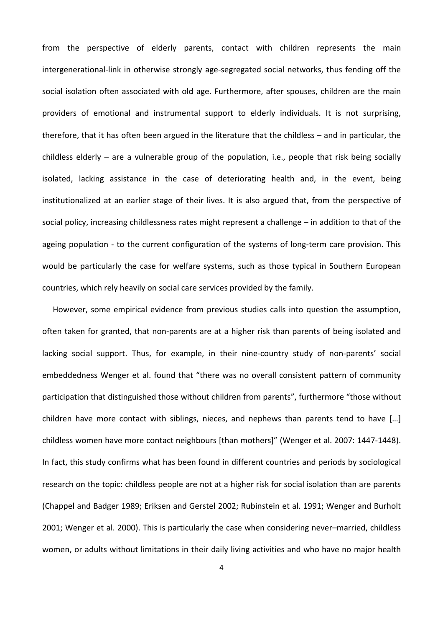from the perspective of elderly parents, contact with children represents the main intergenerational‐link in otherwise strongly age‐segregated social networks, thus fending off the social isolation often associated with old age. Furthermore, after spouses, children are the main providers of emotional and instrumental support to elderly individuals. It is not surprising, therefore, that it has often been argued in the literature that the childless – and in particular, the childless elderly – are a vulnerable group of the population, i.e., people that risk being socially isolated, lacking assistance in the case of deteriorating health and, in the event, being institutionalized at an earlier stage of their lives. It is also argued that, from the perspective of social policy, increasing childlessness rates might represent a challenge – in addition to that of the ageing population - to the current configuration of the systems of long-term care provision. This would be particularly the case for welfare systems, such as those typical in Southern European countries, which rely heavily on social care services provided by the family.

However, some empirical evidence from previous studies calls into question the assumption, often taken for granted, that non‐parents are at a higher risk than parents of being isolated and lacking social support. Thus, for example, in their nine-country study of non-parents' social embeddedness Wenger et al. found that "there was no overall consistent pattern of community participation that distinguished those without children from parents", furthermore "those without children have more contact with siblings, nieces, and nephews than parents tend to have […] childless women have more contact neighbours [than mothers]" (Wenger et al. 2007: 1447‐1448). In fact, this study confirms what has been found in different countries and periods by sociological research on the topic: childless people are not at a higher risk for social isolation than are parents (Chappel and Badger 1989; Eriksen and Gerstel 2002; Rubinstein et al. 1991; Wenger and Burholt 2001; Wenger et al. 2000). This is particularly the case when considering never–married, childless women, or adults without limitations in their daily living activities and who have no major health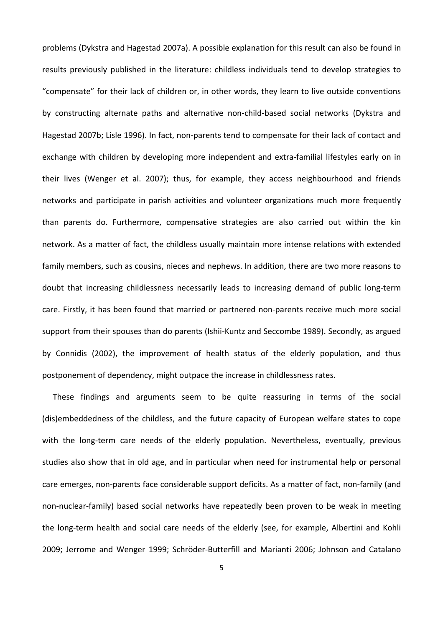problems (Dykstra and Hagestad 2007a). A possible explanation for this result can also be found in results previously published in the literature: childless individuals tend to develop strategies to "compensate" for their lack of children or, in other words, they learn to live outside conventions by constructing alternate paths and alternative non‐child‐based social networks (Dykstra and Hagestad 2007b; Lisle 1996). In fact, non‐parents tend to compensate for their lack of contact and exchange with children by developing more independent and extra-familial lifestyles early on in their lives (Wenger et al. 2007); thus, for example, they access neighbourhood and friends networks and participate in parish activities and volunteer organizations much more frequently than parents do. Furthermore, compensative strategies are also carried out within the kin network. As a matter of fact, the childless usually maintain more intense relations with extended family members, such as cousins, nieces and nephews. In addition, there are two more reasons to doubt that increasing childlessness necessarily leads to increasing demand of public long‐term care. Firstly, it has been found that married or partnered non‐parents receive much more social support from their spouses than do parents (Ishii-Kuntz and Seccombe 1989). Secondly, as argued by Connidis (2002), the improvement of health status of the elderly population, and thus postponement of dependency, might outpace the increase in childlessness rates.

These findings and arguments seem to be quite reassuring in terms of the social (dis)embeddedness of the childless, and the future capacity of European welfare states to cope with the long-term care needs of the elderly population. Nevertheless, eventually, previous studies also show that in old age, and in particular when need for instrumental help or personal care emerges, non‐parents face considerable support deficits. As a matter of fact, non‐family (and non-nuclear-family) based social networks have repeatedly been proven to be weak in meeting the long‐term health and social care needs of the elderly (see, for example, Albertini and Kohli 2009; Jerrome and Wenger 1999; Schröder‐Butterfill and Marianti 2006; Johnson and Catalano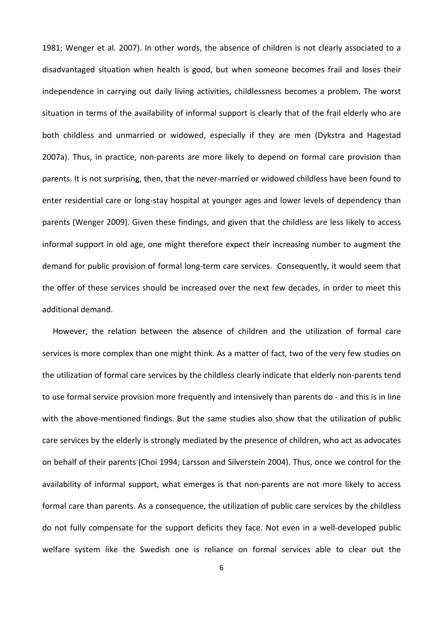1981; Wenger et al. 2007). In other words, the absence of children is not clearly associated to a disadvantaged situation when health is good, but when someone becomes frail and loses their independence in carrying out daily living activities, childlessness becomes a problem. The worst situation in terms of the availability of informal support is clearly that of the frail elderly who are both childless and unmarried or widowed, especially if they are men (Dykstra and Hagestad 2007a). Thus, in practice, non-parents are more likely to depend on formal care provision than parents. It is not surprising, then, that the never-married or widowed childless have been found to enter residential care or long-stay hospital at younger ages and lower levels of dependency than parents (Wenger 2009). Given these findings, and given that the childless are less likely to access informal support in old age, one might therefore expect their increasing number to augment the demand for public provision of formal long-term care services. Consequently, it would seem that the offer of these services should be increased over the next few decades, in order to meet this additional demand.

However, the relation between the absence of children and the utilization of formal care services is more complex than one might think. As a matter of fact, two of the very few studies on the utilization of formal care services by the childless clearly indicate that elderly non‐parents tend to use formal service provision more frequently and intensively than parents do ‐ and this is in line with the above-mentioned findings. But the same studies also show that the utilization of public care services by the elderly is strongly mediated by the presence of children, who act as advocates on behalf of their parents (Choi 1994; Larsson and Silverstein 2004). Thus, once we control for the availability of informal support, what emerges is that non-parents are not more likely to access formal care than parents. As a consequence, the utilization of public care services by the childless do not fully compensate for the support deficits they face. Not even in a well-developed public welfare system like the Swedish one is reliance on formal services able to clear out the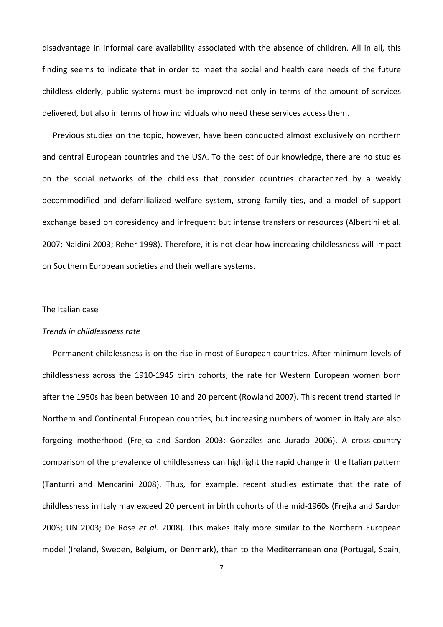disadvantage in informal care availability associated with the absence of children. All in all, this finding seems to indicate that in order to meet the social and health care needs of the future childless elderly, public systems must be improved not only in terms of the amount of services delivered, but also in terms of how individuals who need these services access them.

Previous studies on the topic, however, have been conducted almost exclusively on northern and central European countries and the USA. To the best of our knowledge, there are no studies on the social networks of the childless that consider countries characterized by a weakly decommodified and defamilialized welfare system, strong family ties, and a model of support exchange based on coresidency and infrequent but intense transfers or resources (Albertini et al. 2007; Naldini 2003; Reher 1998). Therefore, it is not clear how increasing childlessness will impact on Southern European societies and their welfare systems.

# The Italian case

#### *Trends in childlessness rate*

Permanent childlessness is on the rise in most of European countries. After minimum levels of childlessness across the 1910‐1945 birth cohorts, the rate for Western European women born after the 1950s has been between 10 and 20 percent (Rowland 2007). This recent trend started in Northern and Continental European countries, but increasing numbers of women in Italy are also forgoing motherhood (Frejka and Sardon 2003; Gonzáles and Jurado 2006). A cross‐country comparison of the prevalence of childlessness can highlight the rapid change in the Italian pattern (Tanturri and Mencarini 2008). Thus, for example, recent studies estimate that the rate of childlessness in Italy may exceed 20 percent in birth cohorts of the mid‐1960s (Frejka and Sardon 2003; UN 2003; De Rose *et al*. 2008). This makes Italy more similar to the Northern European model (Ireland, Sweden, Belgium, or Denmark), than to the Mediterranean one (Portugal, Spain,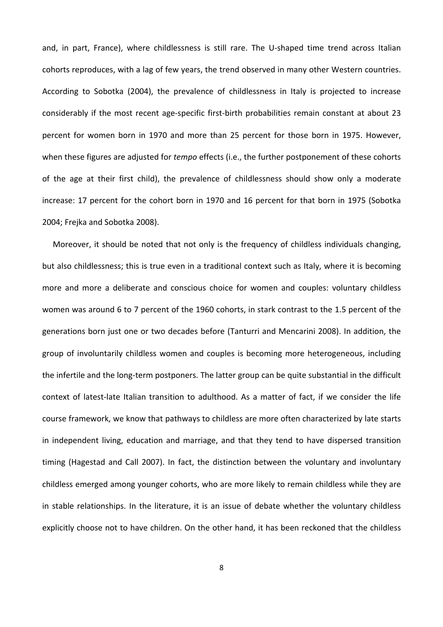and, in part, France), where childlessness is still rare. The U-shaped time trend across Italian cohorts reproduces, with a lag of few years, the trend observed in many other Western countries. According to Sobotka (2004), the prevalence of childlessness in Italy is projected to increase considerably if the most recent age‐specific first‐birth probabilities remain constant at about 23 percent for women born in 1970 and more than 25 percent for those born in 1975. However, when these figures are adjusted for *tempo* effects (i.e., the further postponement of these cohorts of the age at their first child), the prevalence of childlessness should show only a moderate increase: 17 percent for the cohort born in 1970 and 16 percent for that born in 1975 (Sobotka 2004; Frejka and Sobotka 2008).

Moreover, it should be noted that not only is the frequency of childless individuals changing, but also childlessness; this is true even in a traditional context such as Italy, where it is becoming more and more a deliberate and conscious choice for women and couples: voluntary childless women was around 6 to 7 percent of the 1960 cohorts, in stark contrast to the 1.5 percent of the generations born just one or two decades before (Tanturri and Mencarini 2008). In addition, the group of involuntarily childless women and couples is becoming more heterogeneous, including the infertile and the long‐term postponers. The latter group can be quite substantial in the difficult context of latest‐late Italian transition to adulthood. As a matter of fact, if we consider the life course framework, we know that pathways to childless are more often characterized by late starts in independent living, education and marriage, and that they tend to have dispersed transition timing (Hagestad and Call 2007). In fact, the distinction between the voluntary and involuntary childless emerged among younger cohorts, who are more likely to remain childless while they are in stable relationships. In the literature, it is an issue of debate whether the voluntary childless explicitly choose not to have children. On the other hand, it has been reckoned that the childless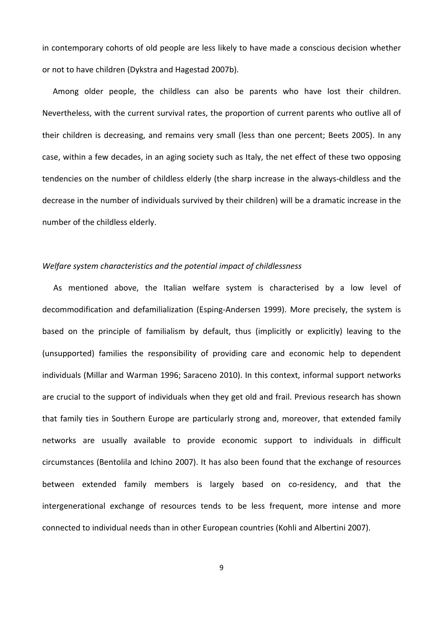in contemporary cohorts of old people are less likely to have made a conscious decision whether or not to have children (Dykstra and Hagestad 2007b).

Among older people, the childless can also be parents who have lost their children. Nevertheless, with the current survival rates, the proportion of current parents who outlive all of their children is decreasing, and remains very small (less than one percent; Beets 2005). In any case, within a few decades, in an aging society such as Italy, the net effect of these two opposing tendencies on the number of childless elderly (the sharp increase in the always‐childless and the decrease in the number of individuals survived by their children) will be a dramatic increase in the number of the childless elderly.

# *Welfare system characteristics and the potential impact of childlessness*

As mentioned above, the Italian welfare system is characterised by a low level of decommodification and defamilialization (Esping‐Andersen 1999). More precisely, the system is based on the principle of familialism by default, thus (implicitly or explicitly) leaving to the (unsupported) families the responsibility of providing care and economic help to dependent individuals (Millar and Warman 1996; Saraceno 2010). In this context, informal support networks are crucial to the support of individuals when they get old and frail. Previous research has shown that family ties in Southern Europe are particularly strong and, moreover, that extended family networks are usually available to provide economic support to individuals in difficult circumstances (Bentolila and Ichino 2007). It has also been found that the exchange of resources between extended family members is largely based on co-residency, and that the intergenerational exchange of resources tends to be less frequent, more intense and more connected to individual needs than in other European countries (Kohli and Albertini 2007).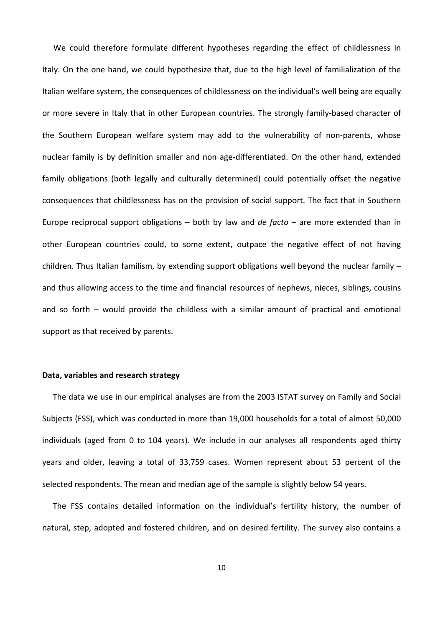We could therefore formulate different hypotheses regarding the effect of childlessness in Italy. On the one hand, we could hypothesize that, due to the high level of familialization of the Italian welfare system, the consequences of childlessness on the individual's well being are equally or more severe in Italy that in other European countries. The strongly family‐based character of the Southern European welfare system may add to the vulnerability of non‐parents, whose nuclear family is by definition smaller and non age-differentiated. On the other hand, extended family obligations (both legally and culturally determined) could potentially offset the negative consequences that childlessness has on the provision of social support. The fact that in Southern Europe reciprocal support obligations – both by law and *de facto* – are more extended than in other European countries could, to some extent, outpace the negative effect of not having children. Thus Italian familism, by extending support obligations well beyond the nuclear family – and thus allowing access to the time and financial resources of nephews, nieces, siblings, cousins and so forth – would provide the childless with a similar amount of practical and emotional support as that received by parents.

#### **Data, variables and research strategy**

The data we use in our empirical analyses are from the 2003 ISTAT survey on Family and Social Subjects (FSS), which was conducted in more than 19,000 households for a total of almost 50,000 individuals (aged from 0 to 104 years). We include in our analyses all respondents aged thirty years and older, leaving a total of 33,759 cases. Women represent about 53 percent of the selected respondents. The mean and median age of the sample is slightly below 54 years.

The FSS contains detailed information on the individual's fertility history, the number of natural, step, adopted and fostered children, and on desired fertility. The survey also contains a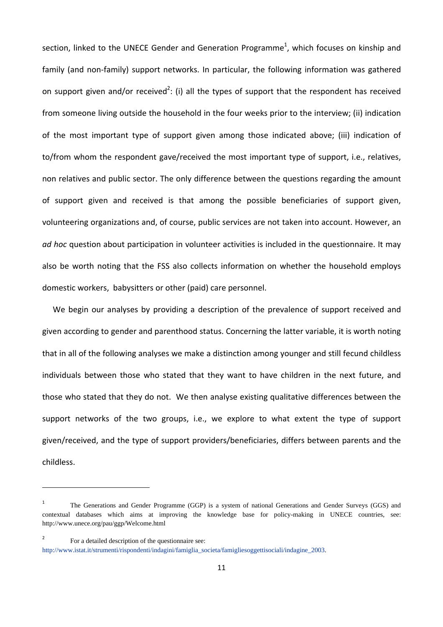section, linked to the UNECE Gender and Generation Programme<sup>1</sup>, which focuses on kinship and family (and non-family) support networks. In particular, the following information was gathered on support given and/or received<sup>2</sup>: (i) all the types of support that the respondent has received from someone living outside the household in the four weeks prior to the interview; (ii) indication of the most important type of support given among those indicated above; (iii) indication of to/from whom the respondent gave/received the most important type of support, i.e., relatives, non relatives and public sector. The only difference between the questions regarding the amount of support given and received is that among the possible beneficiaries of support given, volunteering organizations and, of course, public services are not taken into account. However, an *ad hoc* question about participation in volunteer activities is included in the questionnaire. It may also be worth noting that the FSS also collects information on whether the household employs domestic workers, babysitters or other (paid) care personnel.

We begin our analyses by providing a description of the prevalence of support received and given according to gender and parenthood status. Concerning the latter variable, it is worth noting that in all of the following analyses we make a distinction among younger and still fecund childless individuals between those who stated that they want to have children in the next future, and those who stated that they do not. We then analyse existing qualitative differences between the support networks of the two groups, i.e., we explore to what extent the type of support given/received, and the type of support providers/beneficiaries, differs between parents and the childless.

<sup>1</sup> The Generations and Gender Programme (GGP) is a system of national Generations and Gender Surveys (GGS) and contextual databases which aims at improving the knowledge base for policy-making in UNECE countries, see: http://www.unece.org/pau/ggp/Welcome.html

<sup>&</sup>lt;sup>2</sup> For a detailed description of the questionnaire see:

http://www.istat.it/strumenti/rispondenti/indagini/famiglia\_societa/famigliesoggettisociali/indagine\_2003.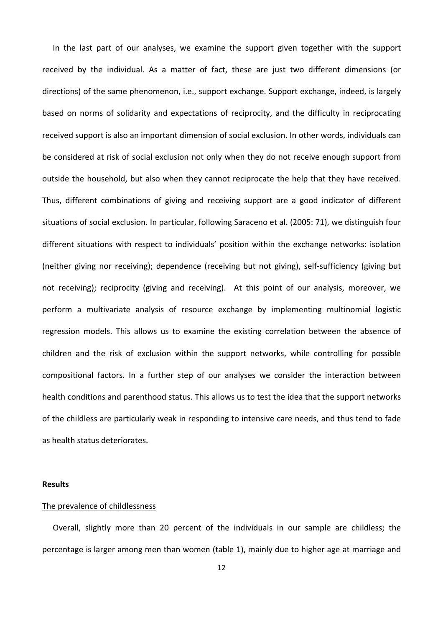In the last part of our analyses, we examine the support given together with the support received by the individual. As a matter of fact, these are just two different dimensions (or directions) of the same phenomenon, i.e., support exchange. Support exchange, indeed, is largely based on norms of solidarity and expectations of reciprocity, and the difficulty in reciprocating received support is also an important dimension of social exclusion. In other words, individuals can be considered at risk of social exclusion not only when they do not receive enough support from outside the household, but also when they cannot reciprocate the help that they have received. Thus, different combinations of giving and receiving support are a good indicator of different situations of social exclusion. In particular, following Saraceno et al. (2005: 71), we distinguish four different situations with respect to individuals' position within the exchange networks: isolation (neither giving nor receiving); dependence (receiving but not giving), self‐sufficiency (giving but not receiving); reciprocity (giving and receiving). At this point of our analysis, moreover, we perform a multivariate analysis of resource exchange by implementing multinomial logistic regression models. This allows us to examine the existing correlation between the absence of children and the risk of exclusion within the support networks, while controlling for possible compositional factors. In a further step of our analyses we consider the interaction between health conditions and parenthood status. This allows us to test the idea that the support networks of the childless are particularly weak in responding to intensive care needs, and thus tend to fade as health status deteriorates.

#### **Results**

#### The prevalence of childlessness

Overall, slightly more than 20 percent of the individuals in our sample are childless; the percentage is larger among men than women (table 1), mainly due to higher age at marriage and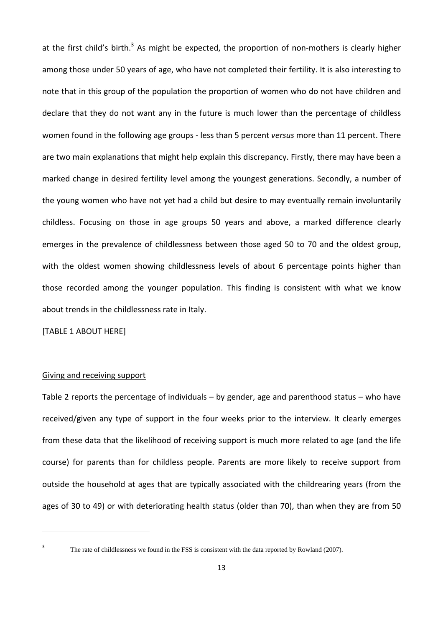at the first child's birth.<sup>3</sup> As might be expected, the proportion of non-mothers is clearly higher among those under 50 years of age, who have not completed their fertility. It is also interesting to note that in this group of the population the proportion of women who do not have children and declare that they do not want any in the future is much lower than the percentage of childless women found in the following age groups ‐ less than 5 percent *versus* more than 11 percent. There are two main explanations that might help explain this discrepancy. Firstly, there may have been a marked change in desired fertility level among the youngest generations. Secondly, a number of the young women who have not yet had a child but desire to may eventually remain involuntarily childless. Focusing on those in age groups 50 years and above, a marked difference clearly emerges in the prevalence of childlessness between those aged 50 to 70 and the oldest group, with the oldest women showing childlessness levels of about 6 percentage points higher than those recorded among the younger population. This finding is consistent with what we know about trends in the childlessness rate in Italy.

[TABLE 1 ABOUT HERE]

#### Giving and receiving support

Table 2 reports the percentage of individuals – by gender, age and parenthood status – who have received/given any type of support in the four weeks prior to the interview. It clearly emerges from these data that the likelihood of receiving support is much more related to age (and the life course) for parents than for childless people. Parents are more likely to receive support from outside the household at ages that are typically associated with the childrearing years (from the ages of 30 to 49) or with deteriorating health status (older than 70), than when they are from 50

The rate of childlessness we found in the FSS is consistent with the data reported by Rowland (2007).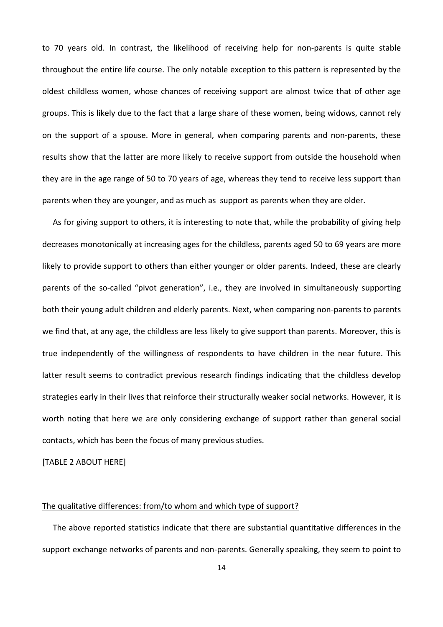to 70 years old. In contrast, the likelihood of receiving help for non-parents is quite stable throughout the entire life course. The only notable exception to this pattern is represented by the oldest childless women, whose chances of receiving support are almost twice that of other age groups. This is likely due to the fact that a large share of these women, being widows, cannot rely on the support of a spouse. More in general, when comparing parents and non‐parents, these results show that the latter are more likely to receive support from outside the household when they are in the age range of 50 to 70 years of age, whereas they tend to receive less support than parents when they are younger, and as much as support as parents when they are older.

As for giving support to others, it is interesting to note that, while the probability of giving help decreases monotonically at increasing ages for the childless, parents aged 50 to 69 years are more likely to provide support to others than either younger or older parents. Indeed, these are clearly parents of the so-called "pivot generation", i.e., they are involved in simultaneously supporting both their young adult children and elderly parents. Next, when comparing non‐parents to parents we find that, at any age, the childless are less likely to give support than parents. Moreover, this is true independently of the willingness of respondents to have children in the near future. This latter result seems to contradict previous research findings indicating that the childless develop strategies early in their lives that reinforce their structurally weaker social networks. However, it is worth noting that here we are only considering exchange of support rather than general social contacts, which has been the focus of many previous studies.

[TABLE 2 ABOUT HERE]

#### The qualitative differences: from/to whom and which type of support?

The above reported statistics indicate that there are substantial quantitative differences in the support exchange networks of parents and non‐parents. Generally speaking, they seem to point to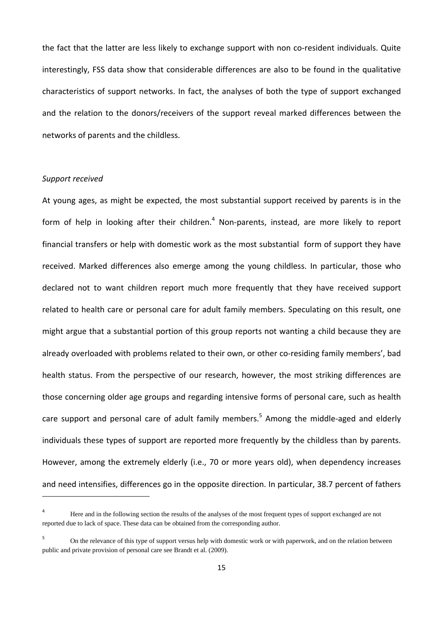the fact that the latter are less likely to exchange support with non co-resident individuals. Quite interestingly, FSS data show that considerable differences are also to be found in the qualitative characteristics of support networks. In fact, the analyses of both the type of support exchanged and the relation to the donors/receivers of the support reveal marked differences between the networks of parents and the childless.

## *Support received*

At young ages, as might be expected, the most substantial support received by parents is in the form of help in looking after their children.<sup>4</sup> Non-parents, instead, are more likely to report financial transfers or help with domestic work as the most substantial form of support they have received. Marked differences also emerge among the young childless. In particular, those who declared not to want children report much more frequently that they have received support related to health care or personal care for adult family members. Speculating on this result, one might argue that a substantial portion of this group reports not wanting a child because they are already overloaded with problems related to their own, or other co-residing family members', bad health status. From the perspective of our research, however, the most striking differences are those concerning older age groups and regarding intensive forms of personal care, such as health care support and personal care of adult family members.<sup>5</sup> Among the middle-aged and elderly individuals these types of support are reported more frequently by the childless than by parents. However, among the extremely elderly (i.e., 70 or more years old), when dependency increases and need intensifies, differences go in the opposite direction. In particular, 38.7 percent of fathers

<sup>4</sup> Here and in the following section the results of the analyses of the most frequent types of support exchanged are not reported due to lack of space. These data can be obtained from the corresponding author.

<sup>5</sup> On the relevance of this type of support versus help with domestic work or with paperwork, and on the relation between public and private provision of personal care see Brandt et al. (2009).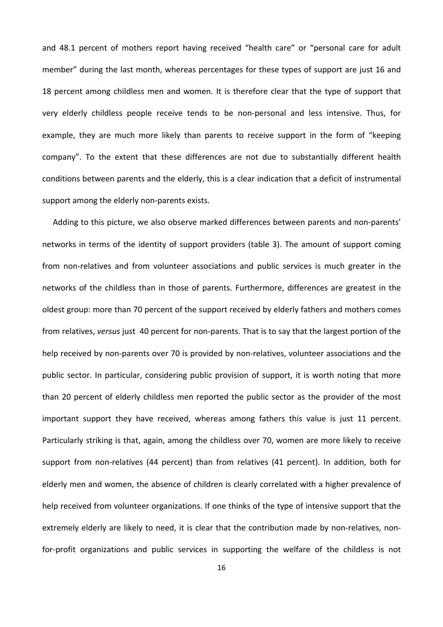and 48.1 percent of mothers report having received "health care" or "personal care for adult member" during the last month, whereas percentages for these types of support are just 16 and 18 percent among childless men and women. It is therefore clear that the type of support that very elderly childless people receive tends to be non‐personal and less intensive. Thus, for example, they are much more likely than parents to receive support in the form of "keeping company". To the extent that these differences are not due to substantially different health conditions between parents and the elderly, this is a clear indication that a deficit of instrumental support among the elderly non-parents exists.

Adding to this picture, we also observe marked differences between parents and non-parents' networks in terms of the identity of support providers (table 3). The amount of support coming from non-relatives and from volunteer associations and public services is much greater in the networks of the childless than in those of parents. Furthermore, differences are greatest in the oldest group: more than 70 percent of the support received by elderly fathers and mothers comes from relatives, *versus* just 40 percent for non‐parents. That is to say that the largest portion of the help received by non-parents over 70 is provided by non-relatives, volunteer associations and the public sector. In particular, considering public provision of support, it is worth noting that more than 20 percent of elderly childless men reported the public sector as the provider of the most important support they have received, whereas among fathers this value is just 11 percent. Particularly striking is that, again, among the childless over 70, women are more likely to receive support from non-relatives (44 percent) than from relatives (41 percent). In addition, both for elderly men and women, the absence of children is clearly correlated with a higher prevalence of help received from volunteer organizations. If one thinks of the type of intensive support that the extremely elderly are likely to need, it is clear that the contribution made by non-relatives, nonfor-profit organizations and public services in supporting the welfare of the childless is not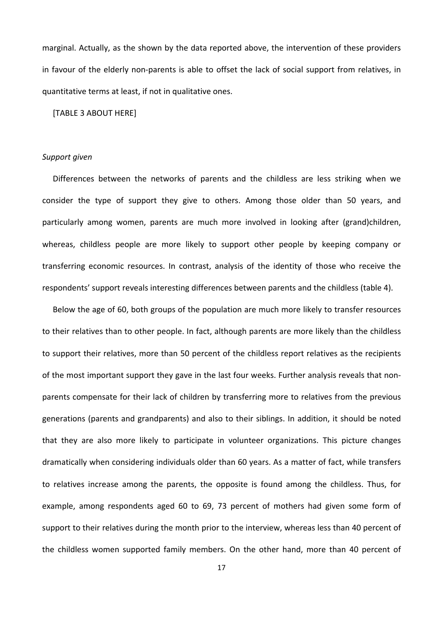marginal. Actually, as the shown by the data reported above, the intervention of these providers in favour of the elderly non-parents is able to offset the lack of social support from relatives, in quantitative terms at least, if not in qualitative ones.

[TABLE 3 ABOUT HERE]

#### *Support given*

Differences between the networks of parents and the childless are less striking when we consider the type of support they give to others. Among those older than 50 years, and particularly among women, parents are much more involved in looking after (grand)children, whereas, childless people are more likely to support other people by keeping company or transferring economic resources. In contrast, analysis of the identity of those who receive the respondents' support reveals interesting differences between parents and the childless (table 4).

Below the age of 60, both groups of the population are much more likely to transfer resources to their relatives than to other people. In fact, although parents are more likely than the childless to support their relatives, more than 50 percent of the childless report relatives as the recipients of the most important support they gave in the last four weeks. Further analysis reveals that non‐ parents compensate for their lack of children by transferring more to relatives from the previous generations (parents and grandparents) and also to their siblings. In addition, it should be noted that they are also more likely to participate in volunteer organizations. This picture changes dramatically when considering individuals older than 60 years. As a matter of fact, while transfers to relatives increase among the parents, the opposite is found among the childless. Thus, for example, among respondents aged 60 to 69, 73 percent of mothers had given some form of support to their relatives during the month prior to the interview, whereas less than 40 percent of the childless women supported family members. On the other hand, more than 40 percent of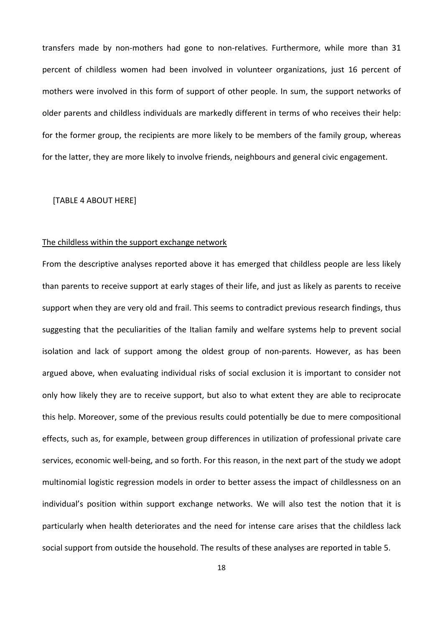transfers made by non‐mothers had gone to non‐relatives. Furthermore, while more than 31 percent of childless women had been involved in volunteer organizations, just 16 percent of mothers were involved in this form of support of other people. In sum, the support networks of older parents and childless individuals are markedly different in terms of who receives their help: for the former group, the recipients are more likely to be members of the family group, whereas for the latter, they are more likely to involve friends, neighbours and general civic engagement.

[TABLE 4 ABOUT HERE]

#### The childless within the support exchange network

From the descriptive analyses reported above it has emerged that childless people are less likely than parents to receive support at early stages of their life, and just as likely as parents to receive support when they are very old and frail. This seems to contradict previous research findings, thus suggesting that the peculiarities of the Italian family and welfare systems help to prevent social isolation and lack of support among the oldest group of non-parents. However, as has been argued above, when evaluating individual risks of social exclusion it is important to consider not only how likely they are to receive support, but also to what extent they are able to reciprocate this help. Moreover, some of the previous results could potentially be due to mere compositional effects, such as, for example, between group differences in utilization of professional private care services, economic well-being, and so forth. For this reason, in the next part of the study we adopt multinomial logistic regression models in order to better assess the impact of childlessness on an individual's position within support exchange networks. We will also test the notion that it is particularly when health deteriorates and the need for intense care arises that the childless lack social support from outside the household. The results of these analyses are reported in table 5.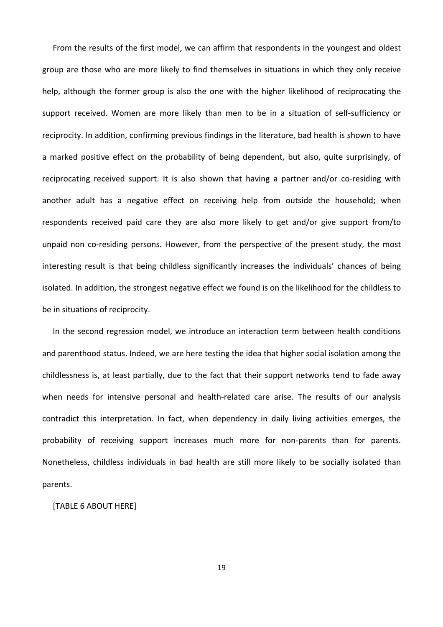From the results of the first model, we can affirm that respondents in the youngest and oldest group are those who are more likely to find themselves in situations in which they only receive help, although the former group is also the one with the higher likelihood of reciprocating the support received. Women are more likely than men to be in a situation of self-sufficiency or reciprocity. In addition, confirming previous findings in the literature, bad health is shown to have a marked positive effect on the probability of being dependent, but also, quite surprisingly, of reciprocating received support. It is also shown that having a partner and/or co-residing with another adult has a negative effect on receiving help from outside the household; when respondents received paid care they are also more likely to get and/or give support from/to unpaid non co-residing persons. However, from the perspective of the present study, the most interesting result is that being childless significantly increases the individuals' chances of being isolated. In addition, the strongest negative effect we found is on the likelihood for the childless to be in situations of reciprocity.

In the second regression model, we introduce an interaction term between health conditions and parenthood status. Indeed, we are here testing the idea that higher social isolation among the childlessness is, at least partially, due to the fact that their support networks tend to fade away when needs for intensive personal and health-related care arise. The results of our analysis contradict this interpretation. In fact, when dependency in daily living activities emerges, the probability of receiving support increases much more for non-parents than for parents. Nonetheless, childless individuals in bad health are still more likely to be socially isolated than parents.

[TABLE 6 ABOUT HERE]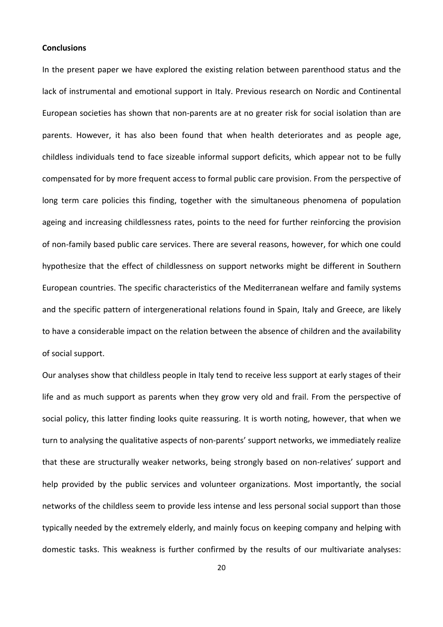#### **Conclusions**

In the present paper we have explored the existing relation between parenthood status and the lack of instrumental and emotional support in Italy. Previous research on Nordic and Continental European societies has shown that non‐parents are at no greater risk for social isolation than are parents. However, it has also been found that when health deteriorates and as people age, childless individuals tend to face sizeable informal support deficits, which appear not to be fully compensated for by more frequent access to formal public care provision. From the perspective of long term care policies this finding, together with the simultaneous phenomena of population ageing and increasing childlessness rates, points to the need for further reinforcing the provision of non‐family based public care services. There are several reasons, however, for which one could hypothesize that the effect of childlessness on support networks might be different in Southern European countries. The specific characteristics of the Mediterranean welfare and family systems and the specific pattern of intergenerational relations found in Spain, Italy and Greece, are likely to have a considerable impact on the relation between the absence of children and the availability of social support.

Our analyses show that childless people in Italy tend to receive less support at early stages of their life and as much support as parents when they grow very old and frail. From the perspective of social policy, this latter finding looks quite reassuring. It is worth noting, however, that when we turn to analysing the qualitative aspects of non‐parents' support networks, we immediately realize that these are structurally weaker networks, being strongly based on non‐relatives' support and help provided by the public services and volunteer organizations. Most importantly, the social networks of the childless seem to provide less intense and less personal social support than those typically needed by the extremely elderly, and mainly focus on keeping company and helping with domestic tasks. This weakness is further confirmed by the results of our multivariate analyses: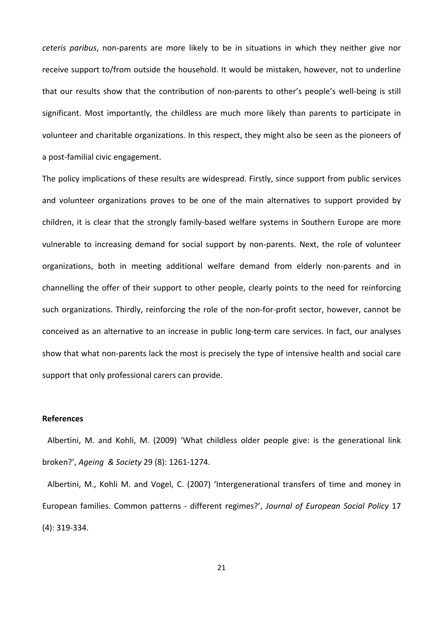*ceteris paribus*, non‐parents are more likely to be in situations in which they neither give nor receive support to/from outside the household. It would be mistaken, however, not to underline that our results show that the contribution of non‐parents to other's people's well‐being is still significant. Most importantly, the childless are much more likely than parents to participate in volunteer and charitable organizations. In this respect, they might also be seen as the pioneers of a post‐familial civic engagement.

The policy implications of these results are widespread. Firstly, since support from public services and volunteer organizations proves to be one of the main alternatives to support provided by children, it is clear that the strongly family‐based welfare systems in Southern Europe are more vulnerable to increasing demand for social support by non-parents. Next, the role of volunteer organizations, both in meeting additional welfare demand from elderly non‐parents and in channelling the offer of their support to other people, clearly points to the need for reinforcing such organizations. Thirdly, reinforcing the role of the non-for-profit sector, however, cannot be conceived as an alternative to an increase in public long-term care services. In fact, our analyses show that what non‐parents lack the most is precisely the type of intensive health and social care support that only professional carers can provide.

#### **References**

Albertini, M. and Kohli, M. (2009) 'What childless older people give: is the generational link broken?', *Ageing & Society* 29 (8): 1261‐1274.

Albertini, M., Kohli M. and Vogel, C. (2007) 'Intergenerational transfers of time and money in European families. Common patterns ‐ different regimes?', *Journal of European Social Policy* 17 (4): 319‐334.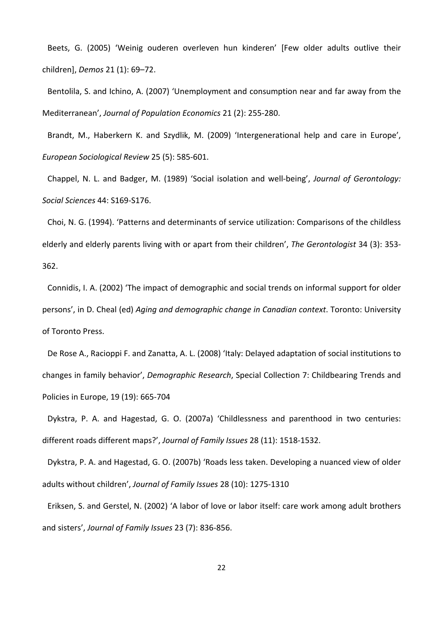Beets, G. (2005) 'Weinig ouderen overleven hun kinderen' [Few older adults outlive their children], *Demos* 21 (1): 69–72.

Bentolila, S. and Ichino, A. (2007) 'Unemployment and consumption near and far away from the Mediterranean', *Journal of Population Economics* 21 (2): 255‐280.

Brandt, M., Haberkern K. and Szydlik, M. (2009) 'Intergenerational help and care in Europe', *European Sociological Review* 25 (5): 585‐601.

Chappel, N. L. and Badger, M. (1989) 'Social isolation and well‐being', *Journal of Gerontology: Social Sciences* 44: S169‐S176.

Choi, N. G. (1994). 'Patterns and determinants of service utilization: Comparisons of the childless elderly and elderly parents living with or apart from their children', *The Gerontologist* 34 (3): 353‐ 362.

Connidis, I. A. (2002) 'The impact of demographic and social trends on informal support for older persons', in D. Cheal (ed) *Aging and demographic change in Canadian context*. Toronto: University of Toronto Press.

De Rose A., Racioppi F. and Zanatta, A. L. (2008) 'Italy: Delayed adaptation of social institutions to changes in family behavior', *Demographic Research*, Special Collection 7: Childbearing Trends and Policies in Europe, 19 (19): 665‐704

Dykstra, P. A. and Hagestad, G. O. (2007a) 'Childlessness and parenthood in two centuries: different roads different maps?', *Journal of Family Issues* 28 (11): 1518‐1532.

Dykstra, P. A. and Hagestad, G. O. (2007b) 'Roads less taken. Developing a nuanced view of older adults without children', *Journal of Family Issues* 28 (10): 1275‐1310

Eriksen, S. and Gerstel, N. (2002) 'A labor of love or labor itself: care work among adult brothers and sisters', *Journal of Family Issues* 23 (7): 836‐856.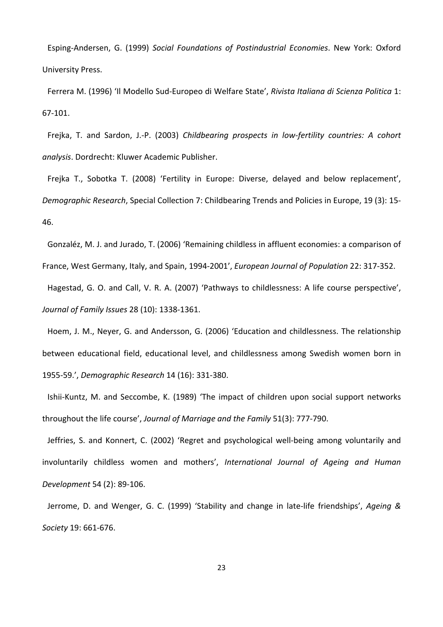Esping‐Andersen, G. (1999) *Social Foundations of Postindustrial Economies*. New York: Oxford University Press.

Ferrera M. (1996) 'Il Modello Sud‐Europeo di Welfare State', *Rivista Italiana di Scienza Politica* 1: 67‐101.

Frejka, T. and Sardon, J.‐P. (2003) *Childbearing prospects in low‐fertility countries: A cohort analysis*. Dordrecht: Kluwer Academic Publisher.

Frejka T., Sobotka T. (2008) 'Fertility in Europe: Diverse, delayed and below replacement', *Demographic Research*, Special Collection 7: Childbearing Trends and Policies in Europe, 19 (3): 15‐ 46.

Gonzaléz, M. J. and Jurado, T. (2006) 'Remaining childless in affluent economies: a comparison of

France, West Germany, Italy, and Spain, 1994‐2001', *European Journal of Population* 22: 317‐352.

Hagestad, G. O. and Call, V. R. A. (2007) 'Pathways to childlessness: A life course perspective', *Journal of Family Issues* 28 (10): 1338‐1361.

Hoem, J. M., Neyer, G. and Andersson, G. (2006) 'Education and childlessness. The relationship between educational field, educational level, and childlessness among Swedish women born in 1955‐59.', *Demographic Research* 14 (16): 331‐380.

Ishii-Kuntz, M. and Seccombe, K. (1989) 'The impact of children upon social support networks throughout the life course', *Journal of Marriage and the Family* 51(3): 777‐790.

Jeffries, S. and Konnert, C. (2002) 'Regret and psychological well‐being among voluntarily and involuntarily childless women and mothers', *International Journal of Ageing and Human Development* 54 (2): 89‐106.

Jerrome, D. and Wenger, G. C. (1999) 'Stability and change in late‐life friendships', *Ageing & Society* 19: 661‐676.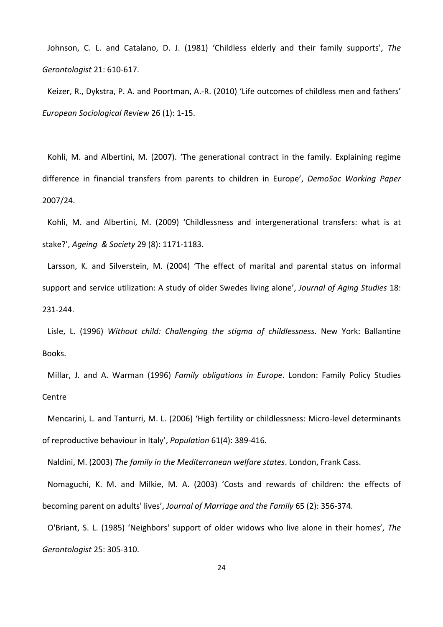Johnson, C. L. and Catalano, D. J. (1981) 'Childless elderly and their family supports', *The Gerontologist* 21: 610‐617.

Keizer, R., Dykstra, P. A. and Poortman, A.‐R. (2010) 'Life outcomes of childless men and fathers' *European Sociological Review* 26 (1): 1‐15.

Kohli, M. and Albertini, M. (2007). 'The generational contract in the family. Explaining regime difference in financial transfers from parents to children in Europe', *DemoSoc Working Paper* 2007/24.

Kohli, M. and Albertini, M. (2009) 'Childlessness and intergenerational transfers: what is at stake?', *Ageing & Society* 29 (8): 1171‐1183.

Larsson, K. and Silverstein, M. (2004) 'The effect of marital and parental status on informal support and service utilization: A study of older Swedes living alone', *Journal of Aging Studies* 18: 231‐244.

Lisle, L. (1996) *Without child: Challenging the stigma of childlessness*. New York: Ballantine Books.

Millar, J. and A. Warman (1996) *Family obligations in Europe*. London: Family Policy Studies Centre

Mencarini, L. and Tanturri, M. L. (2006) 'High fertility or childlessness: Micro‐level determinants of reproductive behaviour in Italy', *Population* 61(4): 389‐416.

Naldini, M. (2003) *The family in the Mediterranean welfare states*. London, Frank Cass.

Nomaguchi, K. M. and Milkie, M. A. (2003) 'Costs and rewards of children: the effects of becoming parent on adults' lives', *Journal of Marriage and the Family* 65 (2): 356‐374.

O'Briant, S. L. (1985) 'Neighbors' support of older widows who live alone in their homes', *The Gerontologist* 25: 305‐310.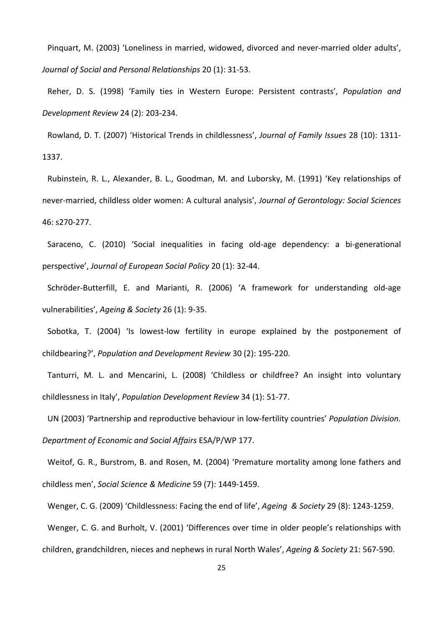Pinquart, M. (2003) 'Loneliness in married, widowed, divorced and never-married older adults', *Journal of Social and Personal Relationships* 20 (1): 31‐53.

Reher, D. S. (1998) 'Family ties in Western Europe: Persistent contrasts', *Population and Development Review* 24 (2): 203‐234.

Rowland, D. T. (2007) 'Historical Trends in childlessness', *Journal of Family Issues* 28 (10): 1311‐ 1337.

Rubinstein, R. L., Alexander, B. L., Goodman, M. and Luborsky, M. (1991) 'Key relationships of never‐married, childless older women: A cultural analysis', *Journal of Gerontology: Social Sciences* 46: s270‐277.

Saraceno, C. (2010) 'Social inequalities in facing old-age dependency: a bi-generational perspective', *Journal of European Social Policy* 20 (1): 32‐44.

Schröder‐Butterfill, E. and Marianti, R. (2006) 'A framework for understanding old‐age vulnerabilities', *Ageing & Society* 26 (1): 9‐35.

Sobotka, T. (2004) 'Is lowest-low fertility in europe explained by the postponement of childbearing?', *Population and Development Review* 30 (2): 195‐220.

Tanturri, M. L. and Mencarini, L. (2008) 'Childless or childfree? An insight into voluntary childlessness in Italy', *Population Development Review* 34 (1): 51‐77.

UN (2003) 'Partnership and reproductive behaviour in low‐fertility countries' *Population Division. Department of Economic and Social Affairs* ESA/P/WP 177.

Weitof, G. R., Burstrom, B. and Rosen, M. (2004) 'Premature mortality among lone fathers and childless men', *Social Science & Medicine* 59 (7): 1449‐1459.

Wenger, C. G. (2009) 'Childlessness: Facing the end of life', *Ageing & Society* 29 (8): 1243‐1259.

Wenger, C. G. and Burholt, V. (2001) 'Differences over time in older people's relationships with

children, grandchildren, nieces and nephews in rural North Wales', *Ageing & Society* 21: 567‐590.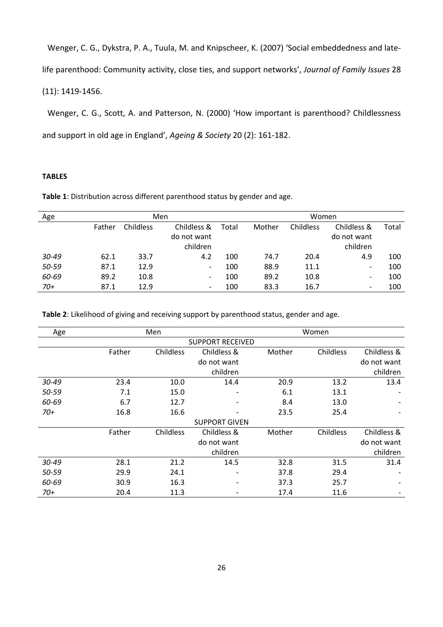Wenger, C. G., Dykstra, P. A., Tuula, M. and Knipscheer, K. (2007) 'Social embeddedness and late‐ life parenthood: Community activity, close ties, and support networks', *Journal of Family Issues* 28 (11): 1419‐1456.

Wenger, C. G., Scott, A. and Patterson, N. (2000) 'How important is parenthood? Childlessness and support in old age in England', *Ageing & Society* 20 (2): 161‐182.

# **TABLES**

**Table 1**: Distribution across different parenthood status by gender and age.

| Age       | Men    |                  |                              |       | Women  |           |             |       |  |
|-----------|--------|------------------|------------------------------|-------|--------|-----------|-------------|-------|--|
|           | Father | <b>Childless</b> | Childless &                  | Total | Mother | Childless | Childless & | Total |  |
|           |        |                  | do not want                  |       |        |           | do not want |       |  |
|           |        |                  | children                     |       |        |           | children    |       |  |
| $30 - 49$ | 62.1   | 33.7             | 4.2                          | 100   | 74.7   | 20.4      | 4.9         | 100   |  |
| 50-59     | 87.1   | 12.9             | -                            | 100   | 88.9   | 11.1      | -           | 100   |  |
| 60-69     | 89.2   | 10.8             | $\qquad \qquad \blacksquare$ | 100   | 89.2   | 10.8      | -           | 100   |  |
| 70+       | 87.1   | 12.9             |                              | 100   | 83.3   | 16.7      | -           | 100   |  |

**Table 2**: Likelihood of giving and receiving support by parenthood status, gender and age.

| Age   |                         | Men       |                      | Women  |                  |             |  |  |
|-------|-------------------------|-----------|----------------------|--------|------------------|-------------|--|--|
|       | <b>SUPPORT RECEIVED</b> |           |                      |        |                  |             |  |  |
|       | Father                  | Childless | Childless &          | Mother | <b>Childless</b> | Childless & |  |  |
|       |                         |           | do not want          |        |                  | do not want |  |  |
|       |                         |           | children             |        |                  | children    |  |  |
| 30-49 | 23.4                    | 10.0      | 14.4                 | 20.9   | 13.2             | 13.4        |  |  |
| 50-59 | 7.1                     | 15.0      |                      | 6.1    | 13.1             |             |  |  |
| 60-69 | 6.7                     | 12.7      |                      | 8.4    | 13.0             |             |  |  |
| 70+   | 16.8                    | 16.6      |                      | 23.5   | 25.4             |             |  |  |
|       |                         |           | <b>SUPPORT GIVEN</b> |        |                  |             |  |  |
|       | Father                  | Childless | Childless &          | Mother | Childless        | Childless & |  |  |
|       |                         |           | do not want          |        |                  | do not want |  |  |
|       |                         |           | children             |        |                  | children    |  |  |
| 30-49 | 28.1                    | 21.2      | 14.5                 | 32.8   | 31.5             | 31.4        |  |  |
| 50-59 | 29.9                    | 24.1      |                      | 37.8   | 29.4             |             |  |  |
| 60-69 | 30.9                    | 16.3      |                      | 37.3   | 25.7             |             |  |  |
| $70+$ | 20.4                    | 11.3      |                      | 17.4   | 11.6             |             |  |  |
|       |                         |           |                      |        |                  |             |  |  |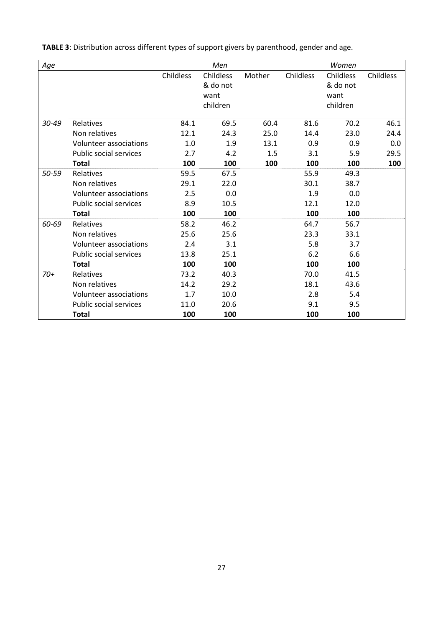| Age   |                               | Men       |           |        | Women            |           |           |
|-------|-------------------------------|-----------|-----------|--------|------------------|-----------|-----------|
|       |                               | Childless | Childless | Mother | <b>Childless</b> | Childless | Childless |
|       |                               |           | & do not  |        |                  | & do not  |           |
|       |                               |           | want      |        |                  | want      |           |
|       |                               |           | children  |        |                  | children  |           |
| 30-49 | Relatives                     | 84.1      | 69.5      | 60.4   | 81.6             | 70.2      | 46.1      |
|       | Non relatives                 | 12.1      | 24.3      | 25.0   | 14.4             | 23.0      | 24.4      |
|       | Volunteer associations        | 1.0       | 1.9       | 13.1   | 0.9              | 0.9       | 0.0       |
|       | <b>Public social services</b> | 2.7       | 4.2       | 1.5    | 3.1              | 5.9       | 29.5      |
|       | <b>Total</b>                  | 100       | 100       | 100    | 100              | 100       | 100       |
| 50-59 | Relatives                     | 59.5      | 67.5      |        | 55.9             | 49.3      |           |
|       | Non relatives                 | 29.1      | 22.0      |        | 30.1             | 38.7      |           |
|       | Volunteer associations        | 2.5       | 0.0       |        | 1.9              | 0.0       |           |
|       | <b>Public social services</b> | 8.9       | 10.5      |        | 12.1             | 12.0      |           |
|       | <b>Total</b>                  | 100       | 100       |        | 100              | 100       |           |
| 60-69 | Relatives                     | 58.2      | 46.2      |        | 64.7             | 56.7      |           |
|       | Non relatives                 | 25.6      | 25.6      |        | 23.3             | 33.1      |           |
|       | Volunteer associations        | 2.4       | 3.1       |        | 5.8              | 3.7       |           |
|       | <b>Public social services</b> | 13.8      | 25.1      |        | 6.2              | 6.6       |           |
|       | <b>Total</b>                  | 100       | 100       |        | 100              | 100       |           |
| $70+$ | Relatives                     | 73.2      | 40.3      |        | 70.0             | 41.5      |           |
|       | Non relatives                 | 14.2      | 29.2      |        | 18.1             | 43.6      |           |
|       | Volunteer associations        | 1.7       | 10.0      |        | 2.8              | 5.4       |           |
|       | <b>Public social services</b> | 11.0      | 20.6      |        | 9.1              | 9.5       |           |
|       | <b>Total</b>                  | 100       | 100       |        | 100              | 100       |           |

**TABLE 3**: Distribution across different types of support givers by parenthood, gender and age.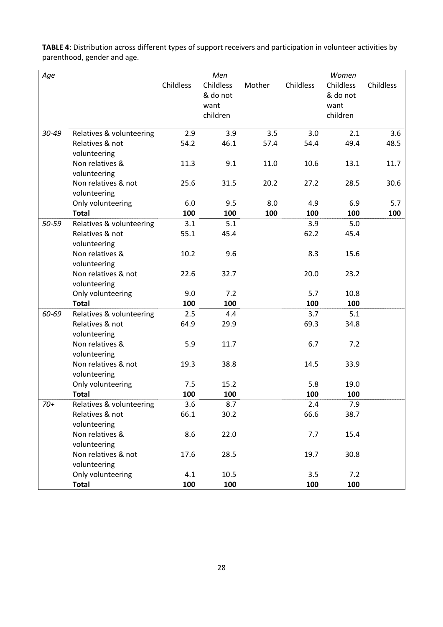| Age   |                          |           | Men       |        |                  | Women            |           |
|-------|--------------------------|-----------|-----------|--------|------------------|------------------|-----------|
|       |                          | Childless | Childless | Mother | <b>Childless</b> | <b>Childless</b> | Childless |
|       |                          |           | & do not  |        |                  | & do not         |           |
|       |                          |           |           |        |                  |                  |           |
|       |                          |           | want      |        |                  | want             |           |
|       |                          |           | children  |        |                  | children         |           |
| 30-49 | Relatives & volunteering | 2.9       | 3.9       | 3.5    | 3.0              | 2.1              | 3.6       |
|       | Relatives & not          | 54.2      | 46.1      | 57.4   | 54.4             | 49.4             | 48.5      |
|       | volunteering             |           |           |        |                  |                  |           |
|       | Non relatives &          | 11.3      | 9.1       | 11.0   | 10.6             | 13.1             | 11.7      |
|       | volunteering             |           |           |        |                  |                  |           |
|       | Non relatives & not      | 25.6      | 31.5      | 20.2   | 27.2             | 28.5             | 30.6      |
|       | volunteering             |           |           |        |                  |                  |           |
|       | Only volunteering        | 6.0       | 9.5       | 8.0    | 4.9              | 6.9              | 5.7       |
|       | <b>Total</b>             | 100       | 100       | 100    | 100              | 100              | 100       |
| 50-59 | Relatives & volunteering | 3.1       | 5.1       |        | 3.9              | 5.0              |           |
|       | Relatives & not          | 55.1      | 45.4      |        | 62.2             | 45.4             |           |
|       | volunteering             |           |           |        |                  |                  |           |
|       | Non relatives &          | 10.2      | 9.6       |        | 8.3              | 15.6             |           |
|       | volunteering             |           |           |        |                  |                  |           |
|       | Non relatives & not      | 22.6      | 32.7      |        | 20.0             | 23.2             |           |
|       | volunteering             |           |           |        |                  |                  |           |
|       | Only volunteering        | 9.0       | 7.2       |        | 5.7              | 10.8             |           |
|       | <b>Total</b>             | 100       | 100       |        | 100              | 100              |           |
| 60-69 | Relatives & volunteering | 2.5       | 4.4       |        | 3.7              | 5.1              |           |
|       | Relatives & not          | 64.9      | 29.9      |        | 69.3             | 34.8             |           |
|       | volunteering             |           |           |        |                  |                  |           |
|       | Non relatives &          | 5.9       | 11.7      |        | 6.7              | 7.2              |           |
|       | volunteering             |           |           |        |                  |                  |           |
|       | Non relatives & not      | 19.3      | 38.8      |        | 14.5             | 33.9             |           |
|       | volunteering             |           |           |        |                  |                  |           |
|       | Only volunteering        | 7.5       | 15.2      |        | 5.8              | 19.0             |           |
|       | <b>Total</b>             | 100       | 100       |        | 100              | 100              |           |
| $70+$ | Relatives & volunteering | 3.6       | 8.7       |        | 2.4              | 7.9              |           |
|       | Relatives & not          | 66.1      | 30.2      |        | 66.6             | 38.7             |           |
|       | volunteering             |           |           |        |                  |                  |           |
|       | Non relatives &          | 8.6       | 22.0      |        | 7.7              | 15.4             |           |
|       | volunteering             |           |           |        |                  |                  |           |
|       | Non relatives & not      | 17.6      | 28.5      |        | 19.7             | 30.8             |           |
|       | volunteering             |           |           |        |                  |                  |           |
|       | Only volunteering        | 4.1       | 10.5      |        | 3.5              | 7.2              |           |
|       | <b>Total</b>             | 100       | 100       |        | 100              | 100              |           |
|       |                          |           |           |        |                  |                  |           |

**TABLE 4**: Distribution across different types of support receivers and participation in volunteer activities by parenthood, gender and age.